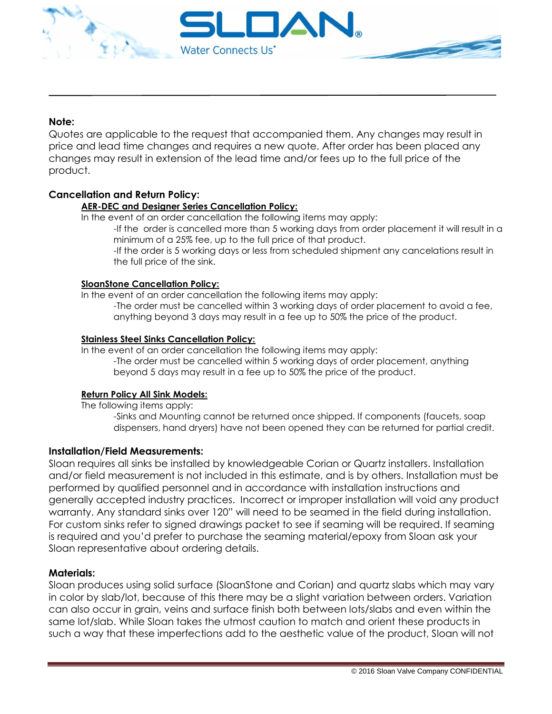

## **Note:**

Quotes are applicable to the request that accompanied them. Any changes may result in price and lead time changes and requires a new quote. After order has been placed any changes may result in extension of the lead time and/or fees up to the full price of the product.

## **Cancellation and Return Policy:**

#### **AER-DEC and Designer Series Cancellation Policy:**

In the event of an order cancellation the following items may apply:

-If the order is cancelled more than 5 working days from order placement it will result in a minimum of a 25% fee, up to the full price of that product.

-If the order is 5 working days or less from scheduled shipment any cancelations result in the full price of the sink.

#### **SloanStone Cancellation Policy:**

In the event of an order cancellation the following items may apply: -The order must be cancelled within 3 working days of order placement to avoid a fee, anything beyond 3 days may result in a fee up to 50% the price of the product.

#### **Stainless Steel Sinks Cancellation Policy:**

In the event of an order cancellation the following items may apply: -The order must be cancelled within 5 working days of order placement, anything beyond 5 days may result in a fee up to 50% the price of the product.

## **Return Policy All Sink Models:**

The following items apply:

-Sinks and Mounting cannot be returned once shipped. If components (faucets, soap dispensers, hand dryers) have not been opened they can be returned for partial credit.

## **Installation/Field Measurements:**

Sloan requires all sinks be installed by knowledgeable Corian or Quartz installers. Installation and/or field measurement is not included in this estimate, and is by others. Installation must be performed by qualified personnel and in accordance with installation instructions and generally accepted industry practices. Incorrect or improper installation will void any product warranty. Any standard sinks over 120" will need to be seamed in the field during installation. For custom sinks refer to signed drawings packet to see if seaming will be required. If seaming is required and you'd prefer to purchase the seaming material/epoxy from Sloan ask your Sloan representative about ordering details.

#### **Materials:**

Sloan produces using solid surface (SloanStone and Corian) and quartz slabs which may vary in color by slab/lot, because of this there may be a slight variation between orders. Variation can also occur in grain, veins and surface finish both between lots/slabs and even within the same lot/slab. While Sloan takes the utmost caution to match and orient these products in such a way that these imperfections add to the aesthetic value of the product, Sloan will not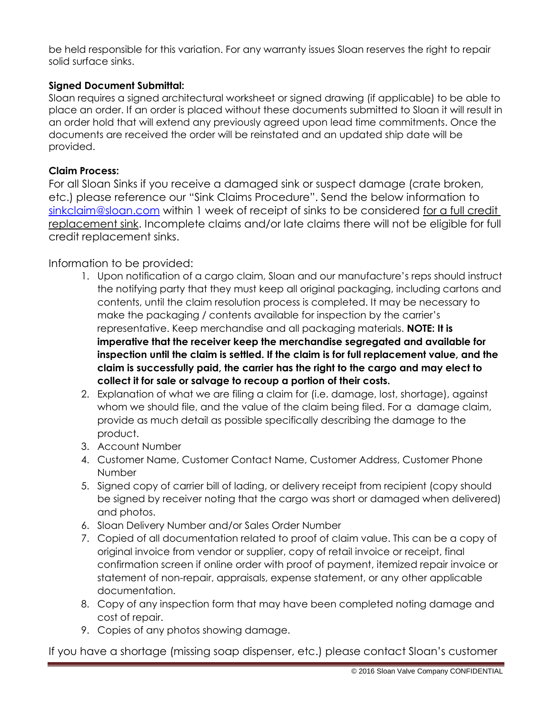be held responsible for this variation. For any warranty issues Sloan reserves the right to repair solid surface sinks.

## **Signed Document Submittal:**

Sloan requires a signed architectural worksheet or signed drawing (if applicable) to be able to place an order. If an order is placed without these documents submitted to Sloan it will result in an order hold that will extend any previously agreed upon lead time commitments. Once the documents are received the order will be reinstated and an updated ship date will be provided.

## **Claim Process:**

For all Sloan Sinks if you receive a damaged sink or suspect damage (crate broken, etc.) please reference our "Sink Claims Procedure". Send the below information to [sinkclaim@sloan.com](mailto:sinkclaim@sloan.com) within 1 week of receipt of sinks to be considered for a full credit replacement sink. Incomplete claims and/or late claims there will not be eligible for full credit replacement sinks.

# Information to be provided:

- 1. Upon notification of a cargo claim, Sloan and our manufacture's reps should instruct the notifying party that they must keep all original packaging, including cartons and contents, until the claim resolution process is completed. It may be necessary to make the packaging / contents available for inspection by the carrier's representative. Keep merchandise and all packaging materials. **NOTE: It is imperative that the receiver keep the merchandise segregated and available for inspection until the claim is settled. If the claim is for full replacement value, and the claim is successfully paid, the carrier has the right to the cargo and may elect to collect it for sale or salvage to recoup a portion of their costs.**
- 2. Explanation of what we are filing a claim for (i.e. damage, lost, shortage), against whom we should file, and the value of the claim being filed. For a damage claim, provide as much detail as possible specifically describing the damage to the product.
- 3. Account Number
- 4. Customer Name, Customer Contact Name, Customer Address, Customer Phone Number
- 5. Signed copy of carrier bill of lading, or delivery receipt from recipient (copy should be signed by receiver noting that the cargo was short or damaged when delivered) and photos.
- 6. Sloan Delivery Number and/or Sales Order Number
- 7. Copied of all documentation related to proof of claim value. This can be a copy of original invoice from vendor or supplier, copy of retail invoice or receipt, final confirmation screen if online order with proof of payment, itemized repair invoice or statement of non-repair, appraisals, expense statement, or any other applicable documentation.
- 8. Copy of any inspection form that may have been completed noting damage and cost of repair.
- 9. Copies of any photos showing damage.

If you have a shortage (missing soap dispenser, etc.) please contact Sloan's customer